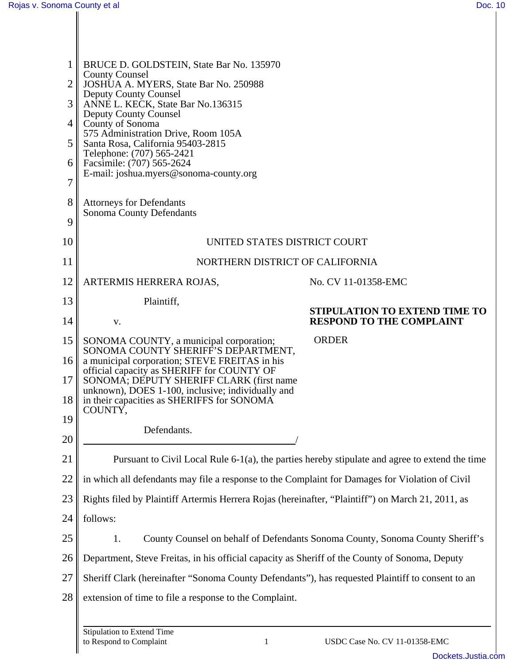| <b>County Counsel</b><br>$\overline{2}$<br>JOSHUA A. MYERS, State Bar No. 250988<br><b>Deputy County Counsel</b><br>3<br>ANNE L. KECK, State Bar No.136315<br><b>Deputy County Counsel</b><br>County of Sonoma<br>4<br>575 Administration Drive, Room 105A<br>5<br>Santa Rosa, California 95403-2815<br>Telephone: (707) 565-2421<br>Facsimile: (707) 565-2624<br>6<br>E-mail: joshua.myers@sonoma-county.org<br>7<br>8<br><b>Attorneys for Defendants</b><br>Sonoma County Defendants<br>9<br>10<br>UNITED STATES DISTRICT COURT |  |  |                   |  |
|-----------------------------------------------------------------------------------------------------------------------------------------------------------------------------------------------------------------------------------------------------------------------------------------------------------------------------------------------------------------------------------------------------------------------------------------------------------------------------------------------------------------------------------|--|--|-------------------|--|
|                                                                                                                                                                                                                                                                                                                                                                                                                                                                                                                                   |  |  |                   |  |
|                                                                                                                                                                                                                                                                                                                                                                                                                                                                                                                                   |  |  |                   |  |
|                                                                                                                                                                                                                                                                                                                                                                                                                                                                                                                                   |  |  |                   |  |
|                                                                                                                                                                                                                                                                                                                                                                                                                                                                                                                                   |  |  |                   |  |
|                                                                                                                                                                                                                                                                                                                                                                                                                                                                                                                                   |  |  |                   |  |
|                                                                                                                                                                                                                                                                                                                                                                                                                                                                                                                                   |  |  |                   |  |
|                                                                                                                                                                                                                                                                                                                                                                                                                                                                                                                                   |  |  |                   |  |
|                                                                                                                                                                                                                                                                                                                                                                                                                                                                                                                                   |  |  |                   |  |
|                                                                                                                                                                                                                                                                                                                                                                                                                                                                                                                                   |  |  |                   |  |
| 11<br>NORTHERN DISTRICT OF CALIFORNIA                                                                                                                                                                                                                                                                                                                                                                                                                                                                                             |  |  |                   |  |
| 12<br>ARTERMIS HERRERA ROJAS,<br>No. CV 11-01358-EMC                                                                                                                                                                                                                                                                                                                                                                                                                                                                              |  |  |                   |  |
| 13<br>Plaintiff,<br>STIPULATION TO EXTEND TIME TO                                                                                                                                                                                                                                                                                                                                                                                                                                                                                 |  |  |                   |  |
| 14<br><b>RESPOND TO THE COMPLAINT</b><br>V.                                                                                                                                                                                                                                                                                                                                                                                                                                                                                       |  |  |                   |  |
| <b>ORDER</b><br>15<br>SONOMA COUNTY, a municipal corporation;<br>SONOMA COUNTY SHERIFF'S DEPARTMENT,                                                                                                                                                                                                                                                                                                                                                                                                                              |  |  |                   |  |
| 16<br>a municipal corporation; STEVE FREITAS in his<br>official capacity as SHERIFF for COUNTY OF<br>17<br>SONOMA; DEPUTY SHERIFF CLARK (first name<br>unknown), DOES 1-100, inclusive; individually and<br>18<br>in their capacities as SHERIFFS for SONOMA                                                                                                                                                                                                                                                                      |  |  |                   |  |
|                                                                                                                                                                                                                                                                                                                                                                                                                                                                                                                                   |  |  | COUNTY,<br>19     |  |
|                                                                                                                                                                                                                                                                                                                                                                                                                                                                                                                                   |  |  | Defendants.<br>20 |  |
| Pursuant to Civil Local Rule 6-1(a), the parties hereby stipulate and agree to extend the time                                                                                                                                                                                                                                                                                                                                                                                                                                    |  |  |                   |  |
| in which all defendants may file a response to the Complaint for Damages for Violation of Civil                                                                                                                                                                                                                                                                                                                                                                                                                                   |  |  |                   |  |
| Rights filed by Plaintiff Artermis Herrera Rojas (hereinafter, "Plaintiff") on March 21, 2011, as                                                                                                                                                                                                                                                                                                                                                                                                                                 |  |  |                   |  |
| follows:                                                                                                                                                                                                                                                                                                                                                                                                                                                                                                                          |  |  |                   |  |
| 1.<br>County Counsel on behalf of Defendants Sonoma County, Sonoma County Sheriff's                                                                                                                                                                                                                                                                                                                                                                                                                                               |  |  |                   |  |
| Department, Steve Freitas, in his official capacity as Sheriff of the County of Sonoma, Deputy                                                                                                                                                                                                                                                                                                                                                                                                                                    |  |  |                   |  |
| 27<br>Sheriff Clark (hereinafter "Sonoma County Defendants"), has requested Plaintiff to consent to an                                                                                                                                                                                                                                                                                                                                                                                                                            |  |  |                   |  |
| 28<br>extension of time to file a response to the Complaint.                                                                                                                                                                                                                                                                                                                                                                                                                                                                      |  |  |                   |  |
| Stinulation to Extend Time                                                                                                                                                                                                                                                                                                                                                                                                                                                                                                        |  |  |                   |  |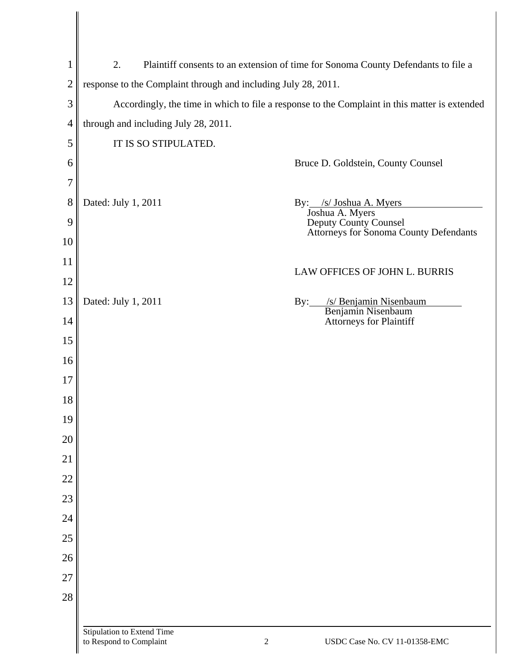| $\mathbf{1}$   | 2.<br>Plaintiff consents to an extension of time for Sonoma County Defendants to file a       |                                                                                    |  |
|----------------|-----------------------------------------------------------------------------------------------|------------------------------------------------------------------------------------|--|
| $\overline{c}$ | response to the Complaint through and including July 28, 2011.                                |                                                                                    |  |
| 3              | Accordingly, the time in which to file a response to the Complaint in this matter is extended |                                                                                    |  |
| $\overline{4}$ | through and including July 28, 2011.                                                          |                                                                                    |  |
| 5              | IT IS SO STIPULATED.                                                                          |                                                                                    |  |
| 6              |                                                                                               | Bruce D. Goldstein, County Counsel                                                 |  |
| 7              |                                                                                               |                                                                                    |  |
| 8              | Dated: July 1, 2011                                                                           | By: /s/ Joshua A. Myers                                                            |  |
| 9              |                                                                                               | Joshua A. Myers<br>Deputy County Counsel<br>Attorneys for Sonoma County Defendants |  |
| 10             |                                                                                               |                                                                                    |  |
| 11             |                                                                                               |                                                                                    |  |
| 12             |                                                                                               | LAW OFFICES OF JOHN L. BURRIS                                                      |  |
| 13             | Dated: July 1, 2011                                                                           | /s/ Benjamin Nisenbaum<br>$\rm\,By:$<br>Benjamin Nisenbaum                         |  |
| 14             |                                                                                               | Attorneys for Plaintiff                                                            |  |
| 15             |                                                                                               |                                                                                    |  |
| 16             |                                                                                               |                                                                                    |  |
| 17             |                                                                                               |                                                                                    |  |
| 18             |                                                                                               |                                                                                    |  |
| 19             |                                                                                               |                                                                                    |  |
| 20             |                                                                                               |                                                                                    |  |
| 21             |                                                                                               |                                                                                    |  |
| 22             |                                                                                               |                                                                                    |  |
| 23             |                                                                                               |                                                                                    |  |
| 24             |                                                                                               |                                                                                    |  |
| 25             |                                                                                               |                                                                                    |  |
| 26             |                                                                                               |                                                                                    |  |
| 27             |                                                                                               |                                                                                    |  |
| 28             |                                                                                               |                                                                                    |  |
|                | Stipulation to Extend Time                                                                    |                                                                                    |  |
|                | to Respond to Complaint                                                                       | USDC Case No. CV 11-01358-EMC<br>$\overline{c}$                                    |  |